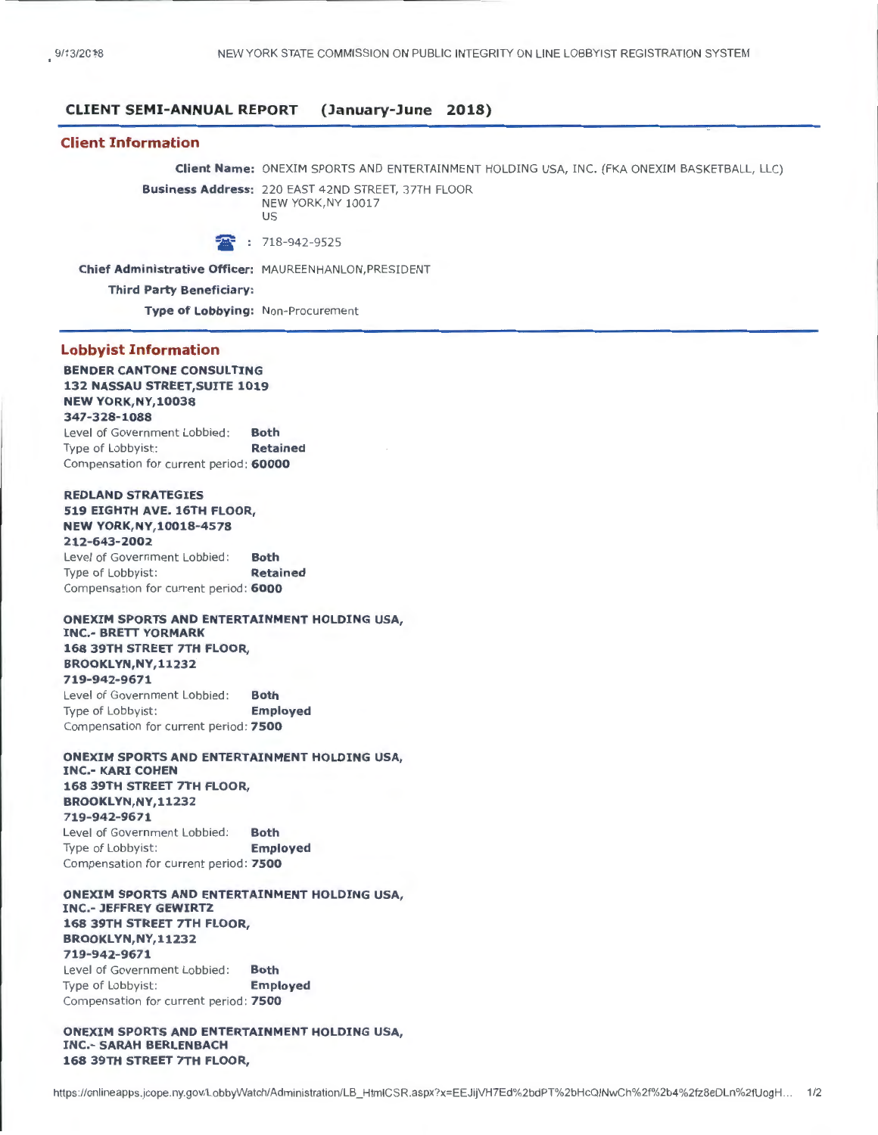### **CLIENT SEMI-ANNUAL REPORT (January-June 2018)**

### **Client Information**

**Client Name:** ONEXIM SPORTS AND ENTERTAINMENT HOLDING USA, INC. (FKA ONEXIM BASKETBALL, LLC)

**Business Address:** 220 EAST 42ND STREET, 37TH FLOOR NEW YORK,NY 10017 us

<sup>1</sup> : 718-942-9525

**Chief Administrative Officer:** MAUREENHANLON,PRESIDENT

**Third Party Beneficiary:** 

**Type of lobbying:** Non-Procurement

### **Lobbyist Information**

### **BENDER CANTONE CONSULTING 132 NASSAU STREET,SUITE 1019 NEW YORK,NY,10038**

**347-328-1088**  Level of Government Lobbied : **Both**  Type of Lobbyist: **Retained** Compensation for current period: **60000** 

### **REDLAND STRATEGIES 519 EIGHTH AVE. 16TH FLOOR,**

#### **NEW YORK,NY,10018-4578**

**212-643-2002**  Level of Government Lobbied : **Both**  Type of Lobbyist: **Retained** Compensation for current period : **6000** 

### **ONEXIM SPORTS AND ENTERTAINMENT HOLDING USA, INC.- BRETT YORMARK 168 39TH STREET 7TH FLOOR, BROOKL YN,NY,11232 719-942-9671**  Level of Government Lobbied: **Both**

Type of Lobbyist: **Employed**  Compensation for current period: **7500** 

#### **ONEXIM SPORTS AND ENTERTAINMENT HOLDING USA, INC.- KARl COHEN 168 39TH STREET 7TH FLOOR, BROOKL YN,NY,11232 719-942-9671**  Level of Government Lobbied: Type of Lobbyist: **Both Employed**  Compensation for current period: **7500**

**ONEXIM SPORTS AND ENTERTAINMENT HOLDING USA, INC.- JEFFREY GEWIRTZ 168 39TH STREET 7TH FLOOR, BROOKL YN,NY,11232 719-942-9671**  Level of Government Lobbied : Type of Lobbyist: **Both Employed**  Compensation for current period: **7500** 

### **ONEXIM SPORTS AND ENTERTAINMENT HOLDING USA, INC.- SARAH BERLENBACH 168 39TH STREET 7TH FLOOR,**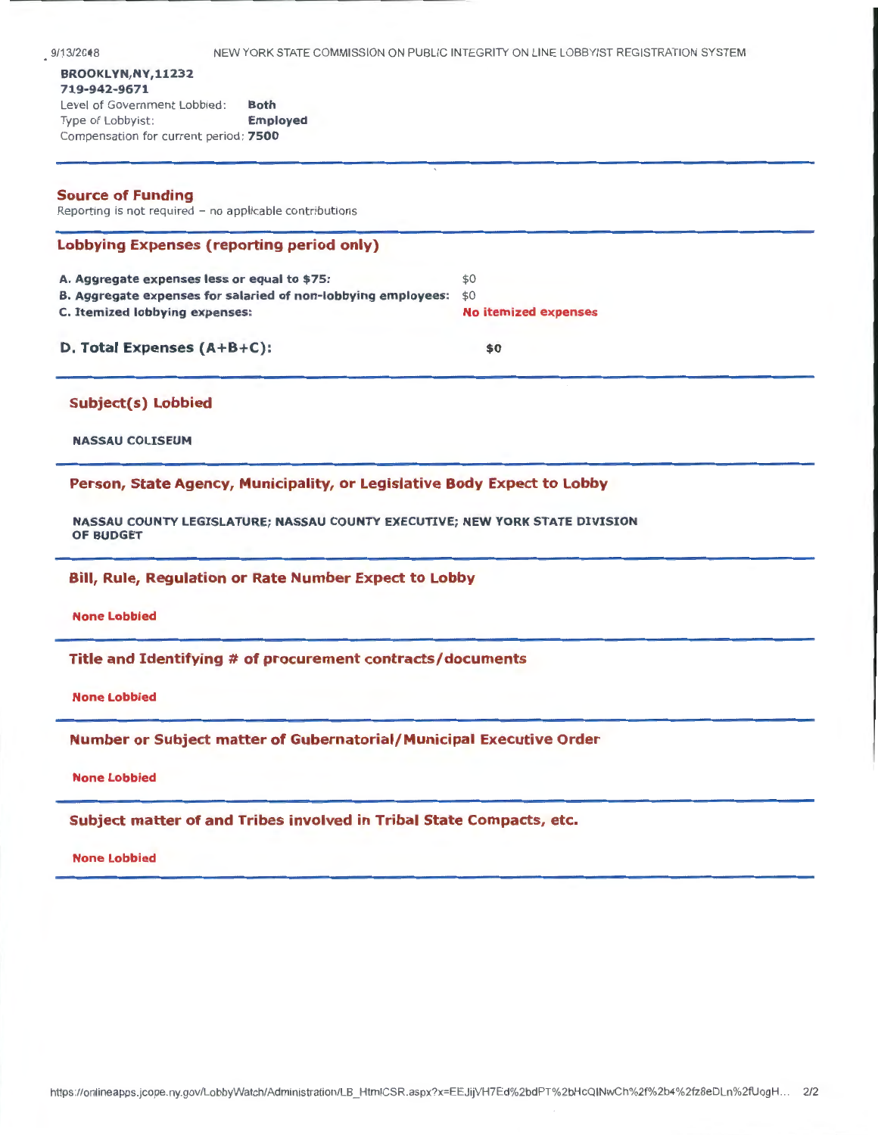# Level of Government Lobbied: Both Type of Lobbyist: **Employed** Compensation for current period: 7500

# Source of Funding

Reporting is not required - no applicable contributions

|  | <b>Lobbying Expenses (reporting period only)</b> |  |
|--|--------------------------------------------------|--|
|  |                                                  |  |

| A. Aggregate expenses less or equal to \$75:                      | \$0                         |
|-------------------------------------------------------------------|-----------------------------|
| B. Aggregate expenses for salaried of non-lobbying employees: \$0 |                             |
| C. Itemized lobbying expenses:                                    | <b>No itemized expenses</b> |
|                                                                   |                             |

# D. Total Expenses (A+B+C):  $$^{9}$

# Subject(s) Lobbied

NASSAU COLISEUM

# Person, State Agency, Municipality, or Legislative Body Expect to Lobby

NASSAU COUNTY LEGISLATURE; NASSAU COUNTY EXECUTIVE; NEW YORK STATE DIVISION OF BUDGET

# Bill, Rule, Regulation or Rate Number Expect to Lobby

None Lobbied

# Title and Identifying # of procurement contracts/documents

None Lobbied

# Number or Subject matter of Gubernatorial/Municipal Executive Order

## None Lobbied

# Subject matter of and Tribes involved in Tribal State Compacts, etc.

### None Lobbied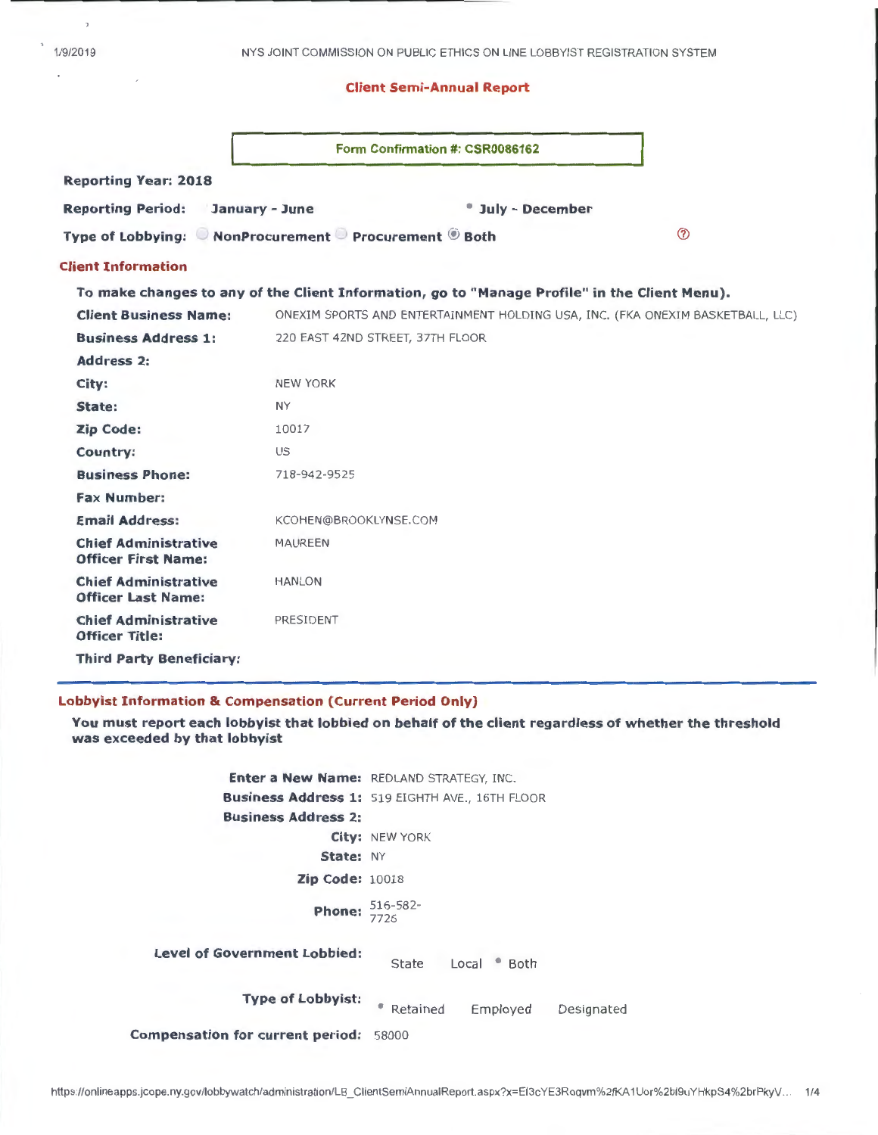$\bar{z}$ 

### Client Semi-Annual Report

|                                                           | Form Confirmation #: CSR0086162                                                               |
|-----------------------------------------------------------|-----------------------------------------------------------------------------------------------|
| <b>Reporting Year: 2018</b>                               |                                                                                               |
| <b>Reporting Period:</b><br>January - June                | <sup>*</sup> July - December                                                                  |
|                                                           | $\circledR$<br>Type of Lobbying: © NonProcurement © Procurement ® Both                        |
| <b>Client Information</b>                                 |                                                                                               |
|                                                           | To make changes to any of the Client Information, go to "Manage Profile" in the Client Menu). |
| <b>Client Business Name:</b>                              | ONEXIM SPORTS AND ENTERTAINMENT HOLDING USA, INC. (FKA ONEXIM BASKETBALL, LLC)                |
| <b>Business Address 1:</b>                                | 220 EAST 42ND STREET, 37TH FLOOR                                                              |
| <b>Address 2:</b>                                         |                                                                                               |
| City:                                                     | <b>NEW YORK</b>                                                                               |
| State:                                                    | <b>NY</b>                                                                                     |
| <b>Zip Code:</b>                                          | 10017                                                                                         |
| Country:                                                  | US                                                                                            |
| <b>Business Phone:</b>                                    | 718-942-9525                                                                                  |
| <b>Fax Number:</b>                                        |                                                                                               |
| <b>Email Address:</b>                                     | KCOHEN@BROOKLYNSE.COM                                                                         |
| <b>Chief Administrative</b><br><b>Officer First Name:</b> | <b>MAUREEN</b>                                                                                |
| <b>Chief Administrative</b><br><b>Officer Last Name:</b>  | <b>HANLON</b>                                                                                 |
| <b>Chief Administrative</b><br><b>Officer Title:</b>      | PRESIDENT                                                                                     |
| <b>Third Party Beneficiary:</b>                           |                                                                                               |

### Lobbyist Information & Compensation (Current Period Only)

You must report each lobbyist that lobbied on behalf of the client regardless of whether the threshold was exceeded by that lobbyist

Enter a New Name: REDLAND STRATEGY, INC. Business Address 1: 519 EIGHTH AVE., 16TH FLOOR Business Address 2: City: NEW YORK State: NY Zip Code: 10018 **Phone:** 516-582-Level of Government Lobbied: **State** Type of Lobbyist: • Retained Compensation for current period: 58000 Local • Both Employed Designated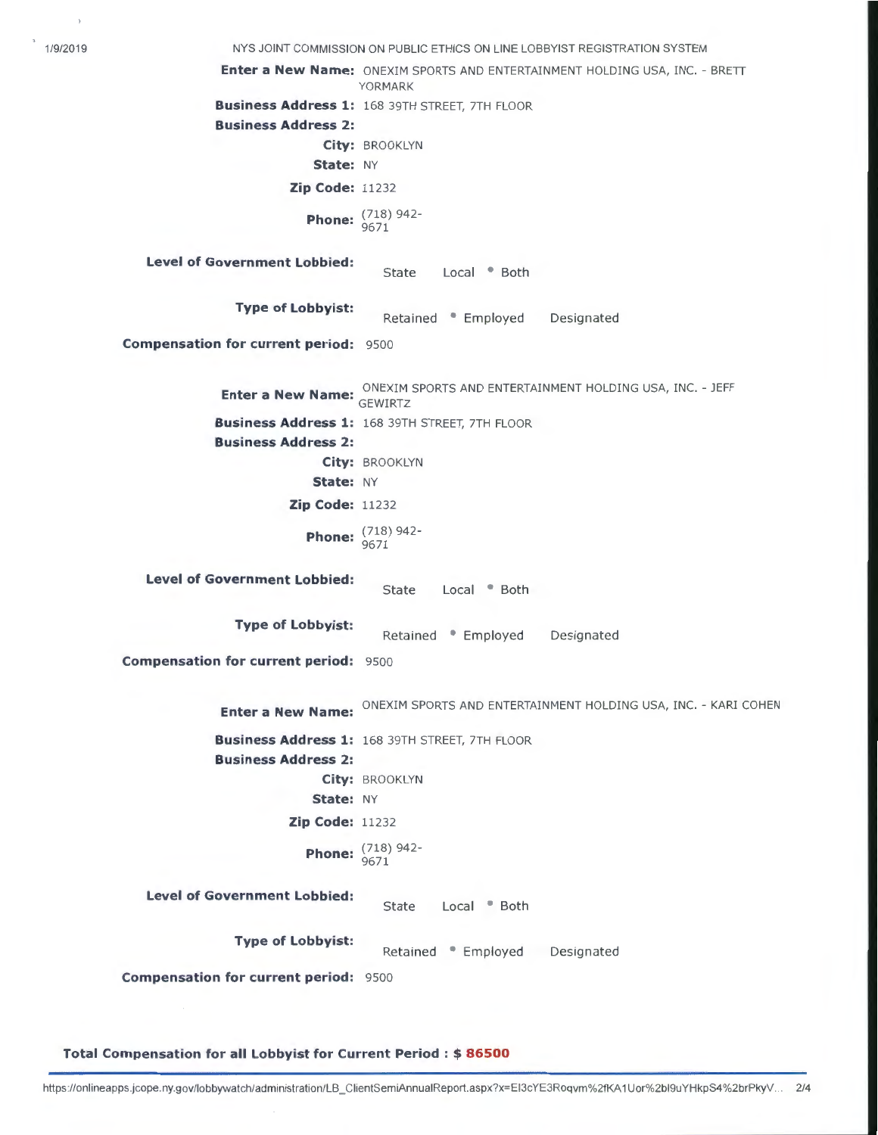1/9/2019 NYS JOINT COMMISSION ON PUBLIC ETHICS ON LINE LOBBYIST REGISTRATION SYSTEM **Enter a New Name:** ONEXIM SPORTS AND ENTERTAINMENT HOLDING USA, INC. - BRETT YORMARK **Business Address 1:** 168 39TH STREET, 7TH FLOOR **Business Address 2: City:** BROOKLYN **State:** NY **Zip Code:** 11232 **Phone:**  $\frac{(718)942}{9671}$ **Level of Government Lobbied:**  State Local • Both **Type of Lobbyist: Retained • Employed Compensation for current period:** 9500 Designated **Enter a New Name:** ONEXIM SPORTS AND ENTERTAINMENT HOLDING USA, INC. - JEFF **Example 2 Business Address 1:** 168 39TH STREET, 7TH FLOOR **Business Address 2: City:** BROOKLYN **State:** NY **Zip Code:** 11232 **Phone:**  $\frac{(718)942}{9671}$ **Level of Government Lobbied:**  State Local <sup>•</sup> Both **Type of Lobbyist:** Retained • Employed **Compensation for current period: 9500** Designated **Enter a New Name:** ONEXIM SPORTS AND ENTERTAINMENT HOLDING USA, INC. - KARI COHEN **Business Address 1:** 168 39TH STREET, 7TH FLOOR **Business Address 2: City:** BROOKLYN **State:** NY **Zip Code:** 11232 **Phone:**  $\frac{(718)942}{9671}$ **Level of Government Lobbied:** State Local • Both **Type of Lobbyist:** Retained • Employed Designated **Compensation for current period:** 9500

**Total Compensation for all Lobbyist for Current Period** : \$ **86500**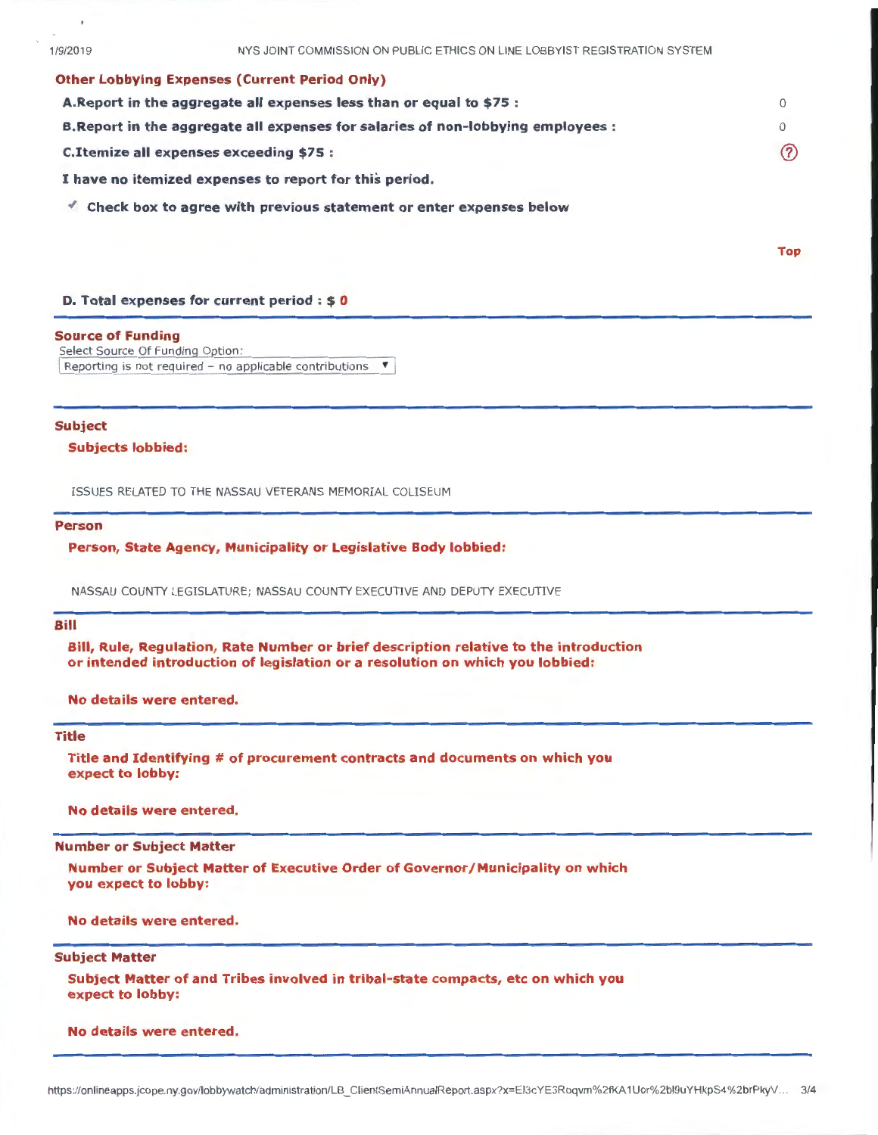### Other Lobbying Expenses (Current Period Only}

| A. Report in the aggregate all expenses less than or equal to \$75 :             |          |
|----------------------------------------------------------------------------------|----------|
| B. Report in the aggregate all expenses for salaries of non-lobbying employees : | $\Omega$ |
| C. Itemize all expenses exceeding \$75 :                                         | ි        |
| I have no itemized expenses to report for this period.                           |          |

 $\triangleleft$  Check box to agree with previous statement or enter expenses below

Top

### D. Total expenses for current period : \$ 0

#### Source of Funding

Select Source Of Funding Option: Reporting is not required - no applicable contributions  $\mathbf{v}$ 

### Subject

Subjects lobbied:

ISSUES RELATED TO THE NASSAU VETERANS MEMORIAL COLISEUM

#### Person

Person, State Agency, Municipality or Legislative Body lobbied:

NASSAU COUNTY LEGISLATURE; NASSAU COUNTY EXECUTIVE AND DEPUTY EXECUTIVE

### Bill

Bill, Rule, Regulation, Rate Number or brief description relative to the introduction or intended introduction of legislation or a resolution on which you lobbied:

No details were entered.

### Title

Title and Identifying # of procurement contracts and documents on which you expect to lobby:

No details were entered.

### Number or Subject Matter

Number or Subject Matter of Executive Order of Governor/Municipality on which you expect to lobby:

No details were entered.

### Subject Matter

Subject Matter of and Tribes involved in tribal-state compacts, etc on which you expect to lobby:

#### No details were entered.